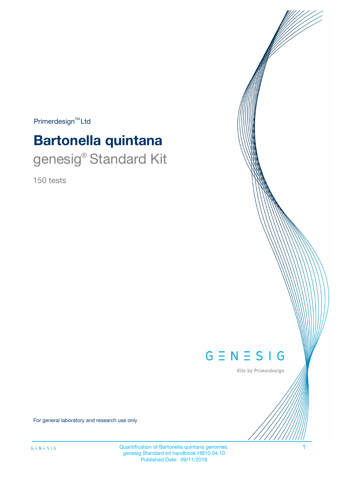$Primerdesign^{TM}$ Ltd

# **Bartonella quintana** genesig<sup>®</sup> Standard Kit

150 tests



Kits by Primerdesign

For general laboratory and research use only

Quantification of Bartonella quintana genomes. 1 genesig Standard kit handbook HB10.04.10 Published Date: 09/11/2018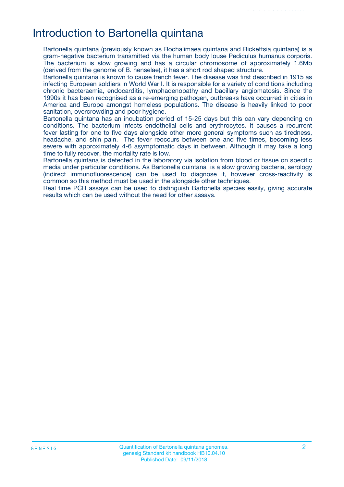# Introduction to Bartonella quintana

Bartonella quintana (previously known as Rochalimaea quintana and Rickettsia quintana) is a gram-negative bacterium transmitted via the human body louse Pediculus humanus corporis. The bacterium is slow growing and has a circular chromosome of approximately 1.6Mb (derived from the genome of B. henselae), it has a short rod shaped structure.

Bartonella quintana is known to cause trench fever. The disease was first described in 1915 as infecting European soldiers in World War I. It is responsible for a variety of conditions including chronic bacteraemia, endocarditis, lymphadenopathy and bacillary angiomatosis. Since the 1990s it has been recognised as a re-emerging pathogen, outbreaks have occurred in cities in America and Europe amongst homeless populations. The disease is heavily linked to poor sanitation, overcrowding and poor hygiene.

Bartonella quintana has an incubation period of 15-25 days but this can vary depending on conditions. The bacterium infects endothelial cells and erythrocytes. It causes a recurrent fever lasting for one to five days alongside other more general symptoms such as tiredness, headache, and shin pain. The fever reoccurs between one and five times, becoming less severe with approximately 4-6 asymptomatic days in between. Although it may take a long time to fully recover, the mortality rate is low.

Bartonella quintana is detected in the laboratory via isolation from blood or tissue on specific media under particular conditions. As Bartonella quintana is a slow growing bacteria, serology (indirect immunofluorescence) can be used to diagnose it, however cross-reactivity is common so this method must be used in the alongside other techniques.

Real time PCR assays can be used to distinguish Bartonella species easily, giving accurate results which can be used without the need for other assays.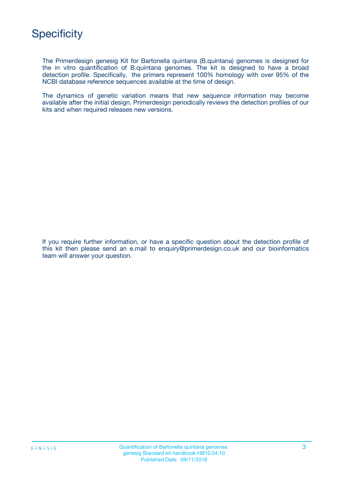

The Primerdesign genesig Kit for Bartonella quintana (B.quintana) genomes is designed for the in vitro quantification of B.quintana genomes. The kit is designed to have a broad detection profile. Specifically, the primers represent 100% homology with over 95% of the NCBI database reference sequences available at the time of design.

The dynamics of genetic variation means that new sequence information may become available after the initial design. Primerdesign periodically reviews the detection profiles of our kits and when required releases new versions.

If you require further information, or have a specific question about the detection profile of this kit then please send an e.mail to enquiry@primerdesign.co.uk and our bioinformatics team will answer your question.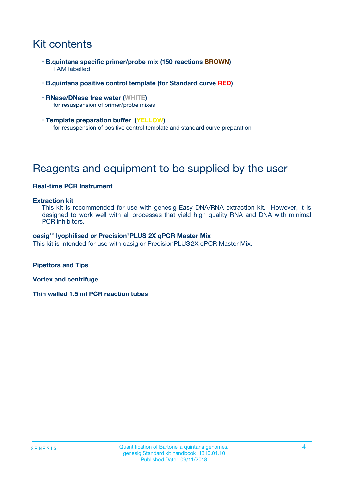# Kit contents

- **B.quintana specific primer/probe mix (150 reactions BROWN)** FAM labelled
- **B.quintana positive control template (for Standard curve RED)**
- **RNase/DNase free water (WHITE)** for resuspension of primer/probe mixes
- **Template preparation buffer (YELLOW)** for resuspension of positive control template and standard curve preparation

# Reagents and equipment to be supplied by the user

#### **Real-time PCR Instrument**

#### **Extraction kit**

This kit is recommended for use with genesig Easy DNA/RNA extraction kit. However, it is designed to work well with all processes that yield high quality RNA and DNA with minimal PCR inhibitors.

#### **oasig**TM **lyophilised or Precision**®**PLUS 2X qPCR Master Mix**

This kit is intended for use with oasig or PrecisionPLUS2X qPCR Master Mix.

**Pipettors and Tips**

**Vortex and centrifuge**

**Thin walled 1.5 ml PCR reaction tubes**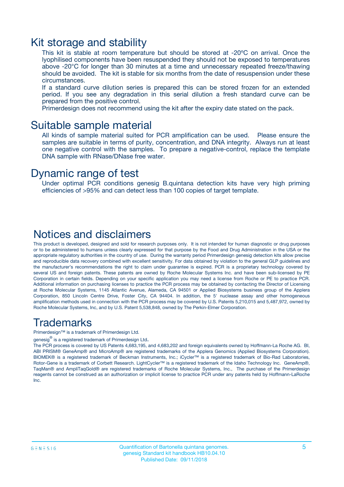### Kit storage and stability

This kit is stable at room temperature but should be stored at -20ºC on arrival. Once the lyophilised components have been resuspended they should not be exposed to temperatures above -20°C for longer than 30 minutes at a time and unnecessary repeated freeze/thawing should be avoided. The kit is stable for six months from the date of resuspension under these circumstances.

If a standard curve dilution series is prepared this can be stored frozen for an extended period. If you see any degradation in this serial dilution a fresh standard curve can be prepared from the positive control.

Primerdesign does not recommend using the kit after the expiry date stated on the pack.

### Suitable sample material

All kinds of sample material suited for PCR amplification can be used. Please ensure the samples are suitable in terms of purity, concentration, and DNA integrity. Always run at least one negative control with the samples. To prepare a negative-control, replace the template DNA sample with RNase/DNase free water.

### Dynamic range of test

Under optimal PCR conditions genesig B.quintana detection kits have very high priming efficiencies of >95% and can detect less than 100 copies of target template.

### Notices and disclaimers

This product is developed, designed and sold for research purposes only. It is not intended for human diagnostic or drug purposes or to be administered to humans unless clearly expressed for that purpose by the Food and Drug Administration in the USA or the appropriate regulatory authorities in the country of use. During the warranty period Primerdesign genesig detection kits allow precise and reproducible data recovery combined with excellent sensitivity. For data obtained by violation to the general GLP guidelines and the manufacturer's recommendations the right to claim under guarantee is expired. PCR is a proprietary technology covered by several US and foreign patents. These patents are owned by Roche Molecular Systems Inc. and have been sub-licensed by PE Corporation in certain fields. Depending on your specific application you may need a license from Roche or PE to practice PCR. Additional information on purchasing licenses to practice the PCR process may be obtained by contacting the Director of Licensing at Roche Molecular Systems, 1145 Atlantic Avenue, Alameda, CA 94501 or Applied Biosystems business group of the Applera Corporation, 850 Lincoln Centre Drive, Foster City, CA 94404. In addition, the 5' nuclease assay and other homogeneous amplification methods used in connection with the PCR process may be covered by U.S. Patents 5,210,015 and 5,487,972, owned by Roche Molecular Systems, Inc, and by U.S. Patent 5,538,848, owned by The Perkin-Elmer Corporation.

### Trademarks

Primerdesign™ is a trademark of Primerdesign Ltd.

genesig $^\circledR$  is a registered trademark of Primerdesign Ltd.

The PCR process is covered by US Patents 4,683,195, and 4,683,202 and foreign equivalents owned by Hoffmann-La Roche AG. BI, ABI PRISM® GeneAmp® and MicroAmp® are registered trademarks of the Applera Genomics (Applied Biosystems Corporation). BIOMEK® is a registered trademark of Beckman Instruments, Inc.; iCycler™ is a registered trademark of Bio-Rad Laboratories, Rotor-Gene is a trademark of Corbett Research. LightCycler™ is a registered trademark of the Idaho Technology Inc. GeneAmp®, TaqMan® and AmpliTaqGold® are registered trademarks of Roche Molecular Systems, Inc., The purchase of the Primerdesign reagents cannot be construed as an authorization or implicit license to practice PCR under any patents held by Hoffmann-LaRoche Inc.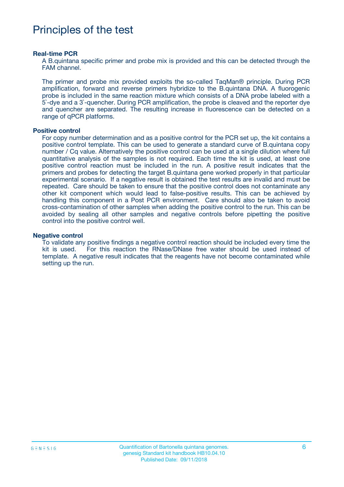# Principles of the test

#### **Real-time PCR**

A B.quintana specific primer and probe mix is provided and this can be detected through the FAM channel.

The primer and probe mix provided exploits the so-called TaqMan® principle. During PCR amplification, forward and reverse primers hybridize to the B.quintana DNA. A fluorogenic probe is included in the same reaction mixture which consists of a DNA probe labeled with a 5`-dye and a 3`-quencher. During PCR amplification, the probe is cleaved and the reporter dye and quencher are separated. The resulting increase in fluorescence can be detected on a range of qPCR platforms.

#### **Positive control**

For copy number determination and as a positive control for the PCR set up, the kit contains a positive control template. This can be used to generate a standard curve of B.quintana copy number / Cq value. Alternatively the positive control can be used at a single dilution where full quantitative analysis of the samples is not required. Each time the kit is used, at least one positive control reaction must be included in the run. A positive result indicates that the primers and probes for detecting the target B.quintana gene worked properly in that particular experimental scenario. If a negative result is obtained the test results are invalid and must be repeated. Care should be taken to ensure that the positive control does not contaminate any other kit component which would lead to false-positive results. This can be achieved by handling this component in a Post PCR environment. Care should also be taken to avoid cross-contamination of other samples when adding the positive control to the run. This can be avoided by sealing all other samples and negative controls before pipetting the positive control into the positive control well.

#### **Negative control**

To validate any positive findings a negative control reaction should be included every time the kit is used. For this reaction the RNase/DNase free water should be used instead of template. A negative result indicates that the reagents have not become contaminated while setting up the run.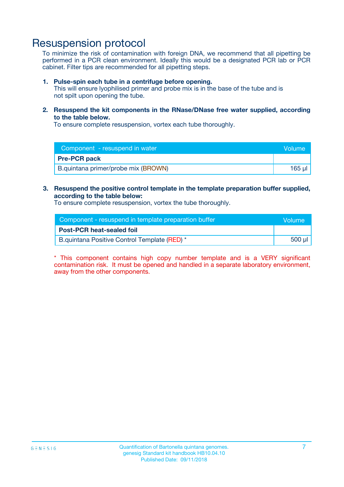### Resuspension protocol

To minimize the risk of contamination with foreign DNA, we recommend that all pipetting be performed in a PCR clean environment. Ideally this would be a designated PCR lab or PCR cabinet. Filter tips are recommended for all pipetting steps.

#### **1. Pulse-spin each tube in a centrifuge before opening.**

This will ensure lyophilised primer and probe mix is in the base of the tube and is not spilt upon opening the tube.

**2. Resuspend the kit components in the RNase/DNase free water supplied, according to the table below.**

To ensure complete resuspension, vortex each tube thoroughly.

| Component - resuspend in water      | <b>Volume</b> |
|-------------------------------------|---------------|
| <b>Pre-PCR pack</b>                 |               |
| B.quintana primer/probe mix (BROWN) | $165$ $\mu$   |

### **3. Resuspend the positive control template in the template preparation buffer supplied, according to the table below:**

To ensure complete resuspension, vortex the tube thoroughly.

| Component - resuspend in template preparation buffer |        |  |
|------------------------------------------------------|--------|--|
| <b>Post-PCR heat-sealed foil</b>                     |        |  |
| B.quintana Positive Control Template (RED) *         | 500 µl |  |

\* This component contains high copy number template and is a VERY significant contamination risk. It must be opened and handled in a separate laboratory environment, away from the other components.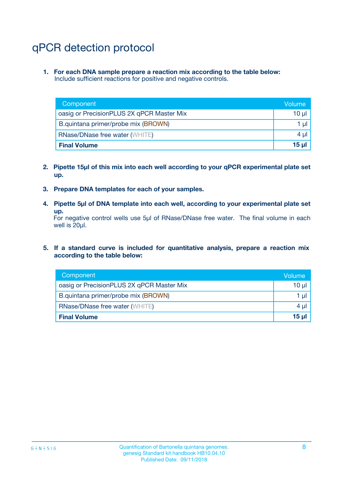# qPCR detection protocol

**1. For each DNA sample prepare a reaction mix according to the table below:** Include sufficient reactions for positive and negative controls.

| Component                                 | Volume           |
|-------------------------------------------|------------------|
| oasig or PrecisionPLUS 2X qPCR Master Mix | 10 $\mu$         |
| B.quintana primer/probe mix (BROWN)       | 1 $\mu$          |
| <b>RNase/DNase free water (WHITE)</b>     | $4 \mu$          |
| <b>Final Volume</b>                       | 15 <sub>ul</sub> |

- **2. Pipette 15µl of this mix into each well according to your qPCR experimental plate set up.**
- **3. Prepare DNA templates for each of your samples.**
- **4. Pipette 5µl of DNA template into each well, according to your experimental plate set up.**

For negative control wells use 5µl of RNase/DNase free water. The final volume in each well is 20µl.

**5. If a standard curve is included for quantitative analysis, prepare a reaction mix according to the table below:**

| Component                                 | Volume     |
|-------------------------------------------|------------|
| oasig or PrecisionPLUS 2X qPCR Master Mix | 10 µl      |
| B.quintana primer/probe mix (BROWN)       | 1 µI       |
| <b>RNase/DNase free water (WHITE)</b>     | $4 \mu$    |
| <b>Final Volume</b>                       | $15$ $\mu$ |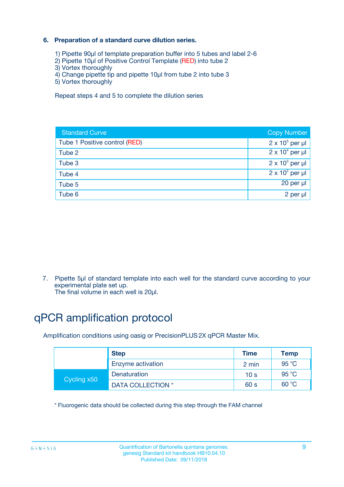### **6. Preparation of a standard curve dilution series.**

- 1) Pipette 90µl of template preparation buffer into 5 tubes and label 2-6
- 2) Pipette 10µl of Positive Control Template (RED) into tube 2
- 3) Vortex thoroughly
- 4) Change pipette tip and pipette 10µl from tube 2 into tube 3
- 5) Vortex thoroughly

Repeat steps 4 and 5 to complete the dilution series

| <b>Standard Curve</b>         | <b>Copy Number</b>     |
|-------------------------------|------------------------|
| Tube 1 Positive control (RED) | $2 \times 10^5$ per µl |
| Tube 2                        | $2 \times 10^4$ per µl |
| Tube 3                        | $2 \times 10^3$ per µl |
| Tube 4                        | $2 \times 10^2$ per µl |
| Tube 5                        | 20 per µl              |
| Tube 6                        | $2$ per $\mu$          |

7. Pipette 5µl of standard template into each well for the standard curve according to your experimental plate set up.

The final volume in each well is 20µl.

# qPCR amplification protocol

Amplification conditions using oasig or PrecisionPLUS2X qPCR Master Mix.

| <b>Step</b> |                   | <b>Time</b>     | <b>Temp</b> |
|-------------|-------------------|-----------------|-------------|
|             | Enzyme activation | 2 min           | 95 °C       |
| Cycling x50 | Denaturation      | 10 <sub>s</sub> | 95 $°C$     |
|             | DATA COLLECTION * | 60 s            | 60 °C       |

\* Fluorogenic data should be collected during this step through the FAM channel